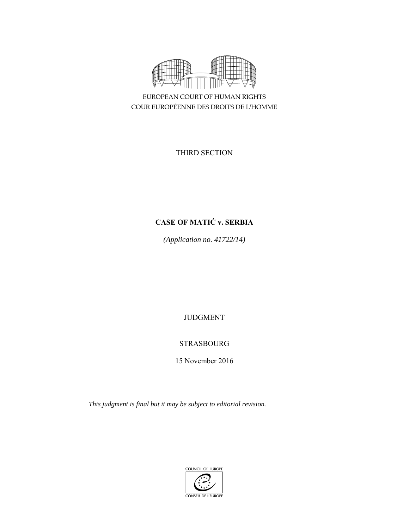

EUROPEAN COURT OF HUMAN RIGHTS COUR EUROPÉENNE DES DROITS DE L'HOMME

THIRD SECTION

# **CASE OF MATIĆ v. SERBIA**

*(Application no. 41722/14)* 

JUDGMENT

## STRASBOURG

15 November 2016

*This judgment is final but it may be subject to editorial revision.* 

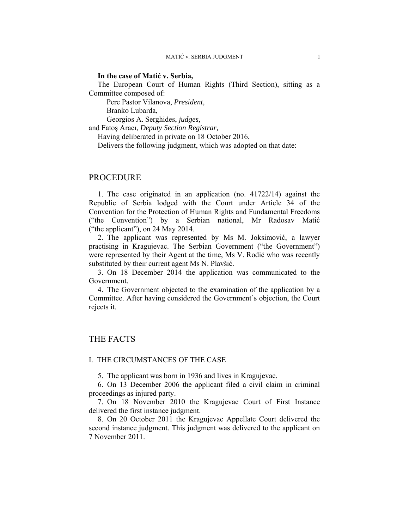#### **In the case of Matić v. Serbia,**

The European Court of Human Rights (Third Section), sitting as a Committee composed of:

Pere Pastor Vilanova, *President,* 

Branko Lubarda,

Georgios A. Serghides, *judges,*

and Fatoş Aracı, *Deputy Section Registrar,*

Having deliberated in private on 18 October 2016,

Delivers the following judgment, which was adopted on that date:

### PROCEDURE

1. The case originated in an application (no. 41722/14) against the Republic of Serbia lodged with the Court under Article 34 of the Convention for the Protection of Human Rights and Fundamental Freedoms ("the Convention") by a Serbian national, Mr Radosav Matić ("the applicant"), on 24 May 2014.

2. The applicant was represented by Ms M. Joksimović, a lawyer practising in Kragujevac. The Serbian Government ("the Government") were represented by their Agent at the time, Ms V. Rodić who was recently substituted by their current agent Ms N. Plavšić.

3. On 18 December 2014 the application was communicated to the Government.

4. The Government objected to the examination of the application by a Committee. After having considered the Government's objection, the Court rejects it.

## THE FACTS

#### I. THE CIRCUMSTANCES OF THE CASE

5. The applicant was born in 1936 and lives in Kragujevac.

6. On 13 December 2006 the applicant filed a civil claim in criminal proceedings as injured party.

7. On 18 November 2010 the Kragujevac Court of First Instance delivered the first instance judgment.

8. On 20 October 2011 the Kragujevac Appellate Court delivered the second instance judgment. This judgment was delivered to the applicant on 7 November 2011.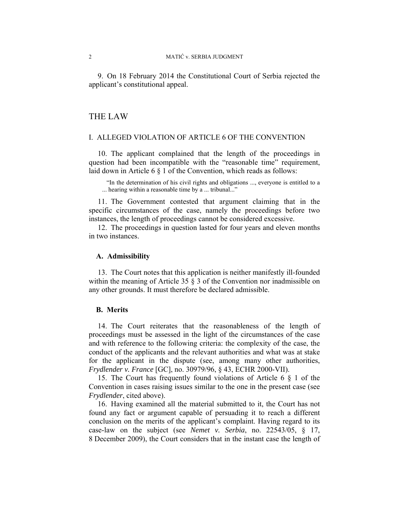9. On 18 February 2014 the Constitutional Court of Serbia rejected the applicant's constitutional appeal.

#### THE LAW

#### I. ALLEGED VIOLATION OF ARTICLE 6 OF THE CONVENTION

10. The applicant complained that the length of the proceedings in question had been incompatible with the "reasonable time" requirement, laid down in Article 6 § 1 of the Convention, which reads as follows:

"In the determination of his civil rights and obligations ..., everyone is entitled to a ... hearing within a reasonable time by a ... tribunal..."

11. The Government contested that argument claiming that in the specific circumstances of the case, namely the proceedings before two instances, the length of proceedings cannot be considered excessive.

12. The proceedings in question lasted for four years and eleven months in two instances.

#### **A. Admissibility**

13. The Court notes that this application is neither manifestly ill-founded within the meaning of Article 35 § 3 of the Convention nor inadmissible on any other grounds. It must therefore be declared admissible.

#### **B. Merits**

14. The Court reiterates that the reasonableness of the length of proceedings must be assessed in the light of the circumstances of the case and with reference to the following criteria: the complexity of the case, the conduct of the applicants and the relevant authorities and what was at stake for the applicant in the dispute (see, among many other authorities, *Frydlender v. France* [GC], no. 30979/96, § 43, ECHR 2000-VII).

15. The Court has frequently found violations of Article 6 § 1 of the Convention in cases raising issues similar to the one in the present case (see *Frydlender*, cited above).

16. Having examined all the material submitted to it, the Court has not found any fact or argument capable of persuading it to reach a different conclusion on the merits of the applicant's complaint. Having regard to its case-law on the subject (see *Nemet v. Serbia*, no. 22543/05, § 17, 8 December 2009), the Court considers that in the instant case the length of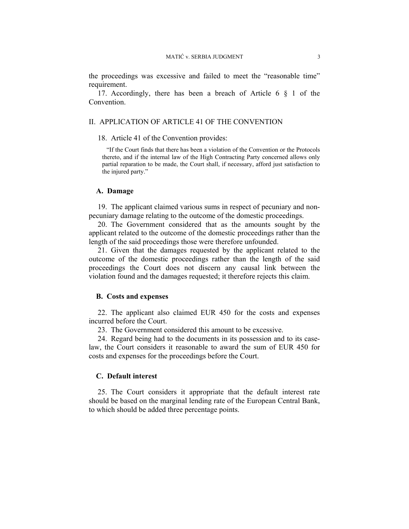the proceedings was excessive and failed to meet the "reasonable time" requirement.

17. Accordingly, there has been a breach of Article 6 § 1 of the Convention.

#### II. APPLICATION OF ARTICLE 41 OF THE CONVENTION

18. Article 41 of the Convention provides:

"If the Court finds that there has been a violation of the Convention or the Protocols thereto, and if the internal law of the High Contracting Party concerned allows only partial reparation to be made, the Court shall, if necessary, afford just satisfaction to the injured party."

#### **A. Damage**

19. The applicant claimed various sums in respect of pecuniary and nonpecuniary damage relating to the outcome of the domestic proceedings.

20. The Government considered that as the amounts sought by the applicant related to the outcome of the domestic proceedings rather than the length of the said proceedings those were therefore unfounded.

21. Given that the damages requested by the applicant related to the outcome of the domestic proceedings rather than the length of the said proceedings the Court does not discern any causal link between the violation found and the damages requested; it therefore rejects this claim.

#### **B. Costs and expenses**

22. The applicant also claimed EUR 450 for the costs and expenses incurred before the Court.

23. The Government considered this amount to be excessive.

24. Regard being had to the documents in its possession and to its caselaw, the Court considers it reasonable to award the sum of EUR 450 for costs and expenses for the proceedings before the Court.

#### **C. Default interest**

25. The Court considers it appropriate that the default interest rate should be based on the marginal lending rate of the European Central Bank, to which should be added three percentage points.